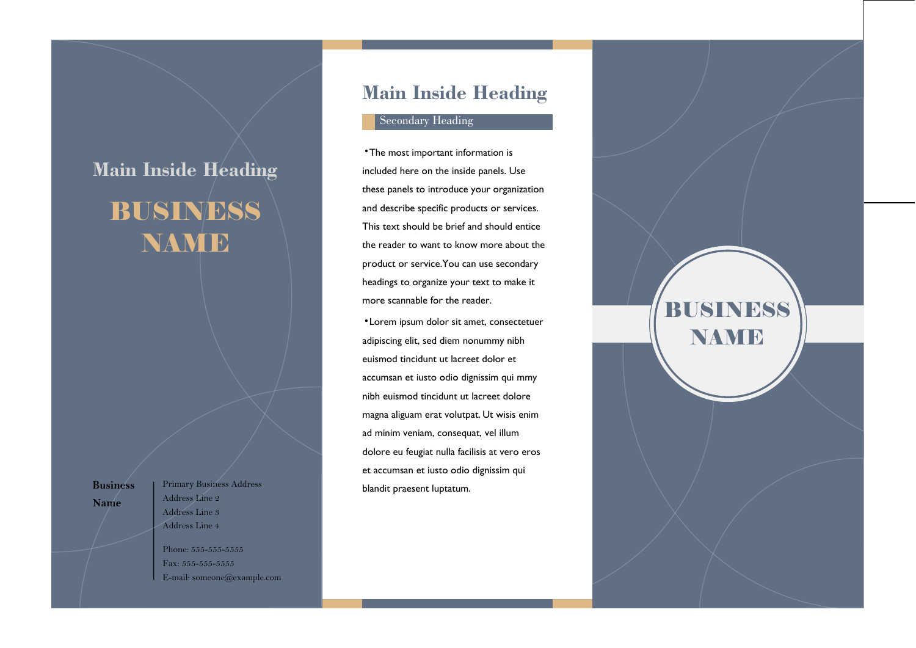# **Main Inside Heading BUSINESS** NAME

**Business Name**

Primary Business Address Address Line 2 Address Line 3 Address Line 4

Phone: 555-555-5555 Fax: 555-555-5555 E-mail: someone@example.com

## **Main Inside Heading**

#### Secondary Heading

•The most important information is included here on the inside panels. Use these panels to introduce your organization and describe specific products or services. This text should be brief and should entice the reader to want to know more about the product or service.You can use secondary headings to organize your text to make it more scannable for the reader.

•Lorem ipsum dolor sit amet, consectetuer adipiscing elit, sed diem nonummy nibh euismod tincidunt ut lacreet dolor et accumsan et iusto odio dignissim qui mmy nibh euismod tincidunt ut lacreet dolore magna aliguam erat volutpat. Ut wisis enim ad minim veniam, consequat, vel illum dolore eu feugiat nulla facilisis at vero eros et accumsan et iusto odio dignissim qui blandit praesent luptatum.

BUSINESS NAME